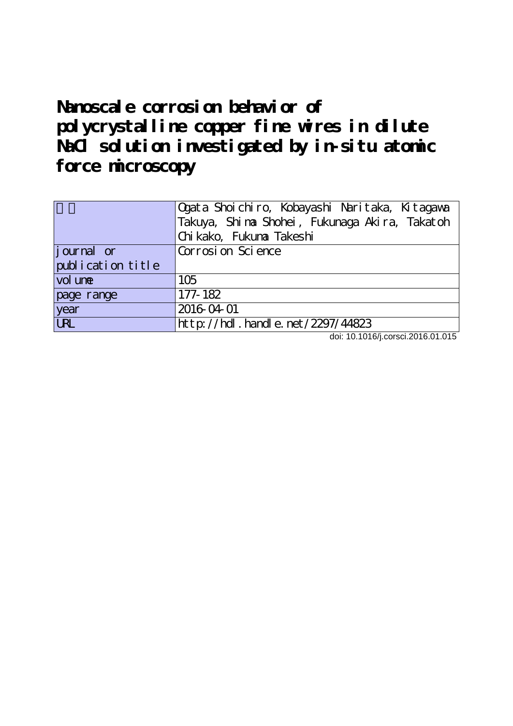# **Nanoscale corrosion behavior of polycrystalline copper fine wires in dilute NaCl solution investigated by in-situ atomic force microscopy**

|                   | Ogata Shoichiro, Kobayashi Naritaka, Kitagawa  |  |  |  |  |  |  |  |  |
|-------------------|------------------------------------------------|--|--|--|--|--|--|--|--|
|                   | Takuya, Shi na Shohei, Fukunaga Akira, Takatoh |  |  |  |  |  |  |  |  |
|                   | Chi kako, Fukuna Takeshi                       |  |  |  |  |  |  |  |  |
| journal or        | Corrosi on Science                             |  |  |  |  |  |  |  |  |
| publication title |                                                |  |  |  |  |  |  |  |  |
| vol une           | 105                                            |  |  |  |  |  |  |  |  |
| page range        | 177-182                                        |  |  |  |  |  |  |  |  |
| year              | 2016-04-01                                     |  |  |  |  |  |  |  |  |
| <b>LRL</b>        | http://hdl.handle.net/2297/44823               |  |  |  |  |  |  |  |  |

doi: 10.1016/j.corsci.2016.01.015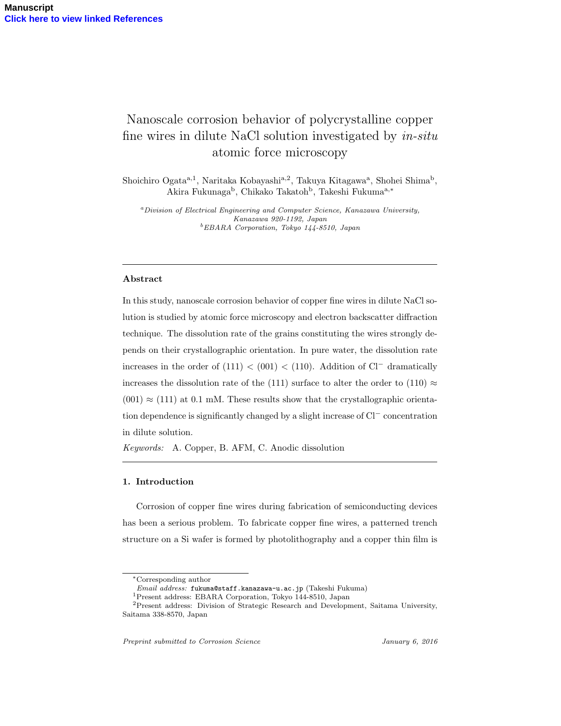### Nanoscale corrosion behavior of polycrystalline copper fine wires in dilute NaCl solution investigated by *in-situ* atomic force microscopy

Shoichiro Ogata<sup>a, 1</sup>, Naritaka Kobayashi<sup>a, 2</sup>, Takuya Kitagawa<sup>a</sup>, Shohei Shima<sup>b</sup>, Akira Fukunaga<sup>b</sup>, Chikako Takatoh<sup>b</sup>, Takeshi Fukuma<sup>a,∗</sup>

*<sup>a</sup>Division of Electrical Engineering and Computer Science, Kanazawa University, Kanazawa 920-1192, Japan <sup>b</sup>EBARA Corporation, Tokyo 144-8510, Japan*

#### **Abstract**

In this study, nanoscale corrosion behavior of copper fine wires in dilute NaCl solution is studied by atomic force microscopy and electron backscatter diffraction technique. The dissolution rate of the grains constituting the wires strongly depends on their crystallographic orientation. In pure water, the dissolution rate increases in the order of  $(111) < (001) < (110)$ . Addition of Cl<sup>−</sup> dramatically increases the dissolution rate of the (111) surface to alter the order to (110)  $\approx$  $(001) \approx (111)$  at 0.1 mM. These results show that the crystallographic orientation dependence is significantly changed by a slight increase of Cl*<sup>−</sup>* concentration in dilute solution.

*Keywords:* A. Copper, B. AFM, C. Anodic dissolution

#### **1. Introduction**

Corrosion of copper fine wires during fabrication of semiconducting devices has been a serious problem. To fabricate copper fine wires, a patterned trench structure on a Si wafer is formed by photolithography and a copper thin film is

*<sup>∗</sup>*Corresponding author

*Email address:* fukuma@staff.kanazawa-u.ac.jp (Takeshi Fukuma)

<sup>1</sup>Present address: EBARA Corporation, Tokyo 144-8510, Japan

<sup>2</sup>Present address: Division of Strategic Research and Development, Saitama University, Saitama 338-8570, Japan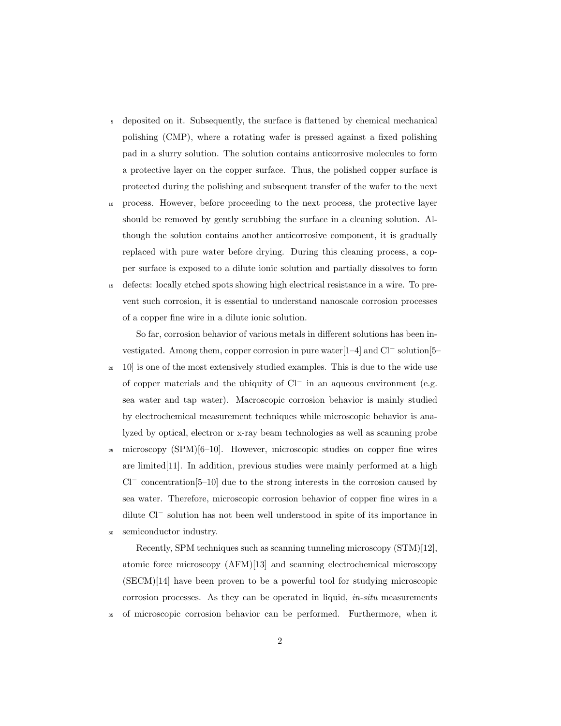- <sup>5</sup> deposited on it. Subsequently, the surface is flattened by chemical mechanical polishing (CMP), where a rotating wafer is pressed against a fixed polishing pad in a slurry solution. The solution contains anticorrosive molecules to form a protective layer on the copper surface. Thus, the polished copper surface is protected during the polishing and subsequent transfer of the wafer to the next
- <sup>10</sup> process. However, before proceeding to the next process, the protective layer should be removed by gently scrubbing the surface in a cleaning solution. Although the solution contains another anticorrosive component, it is gradually replaced with pure water before drying. During this cleaning process, a copper surface is exposed to a dilute ionic solution and partially dissolves to form
- <sup>15</sup> defects: locally etched spots showing high electrical resistance in a wire. To prevent such corrosion, it is essential to understand nanoscale corrosion processes of a copper fine wire in a dilute ionic solution.

So far, corrosion behavior of various metals in different solutions has been investigated. Among them, copper corrosion in pure water[1–4] and Cl*<sup>−</sup>* solution[5–

- <sup>20</sup> 10] is one of the most extensively studied examples. This is due to the wide use of copper materials and the ubiquity of Cl*<sup>−</sup>* in an aqueous environment (e.g. sea water and tap water). Macroscopic corrosion behavior is mainly studied by electrochemical measurement techniques while microscopic behavior is analyzed by optical, electron or x-ray beam technologies as well as scanning probe
- $_{25}$  microscopy (SPM)[6–10]. However, microscopic studies on copper fine wires are limited[11]. In addition, previous studies were mainly performed at a high Cl*<sup>−</sup>* concentration[5–10] due to the strong interests in the corrosion caused by sea water. Therefore, microscopic corrosion behavior of copper fine wires in a dilute Cl*<sup>−</sup>* solution has not been well understood in spite of its importance in semiconductor industry.

Recently, SPM techniques such as scanning tunneling microscopy (STM)[12], atomic force microscopy (AFM)[13] and scanning electrochemical microscopy (SECM)[14] have been proven to be a powerful tool for studying microscopic corrosion processes. As they can be operated in liquid, *in-situ* measurements

<sup>35</sup> of microscopic corrosion behavior can be performed. Furthermore, when it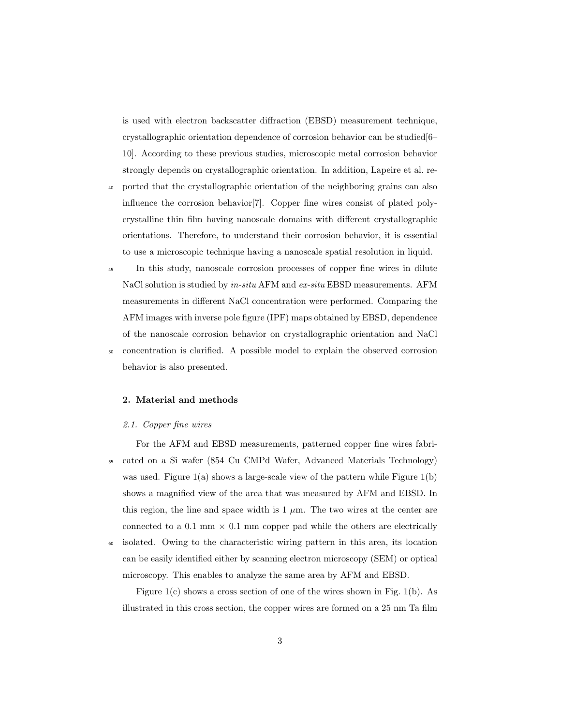is used with electron backscatter diffraction (EBSD) measurement technique, crystallographic orientation dependence of corrosion behavior can be studied[6– 10]. According to these previous studies, microscopic metal corrosion behavior strongly depends on crystallographic orientation. In addition, Lapeire et al. re-

- <sup>40</sup> ported that the crystallographic orientation of the neighboring grains can also influence the corrosion behavior[7]. Copper fine wires consist of plated polycrystalline thin film having nanoscale domains with different crystallographic orientations. Therefore, to understand their corrosion behavior, it is essential to use a microscopic technique having a nanoscale spatial resolution in liquid.
- <sup>45</sup> In this study, nanoscale corrosion processes of copper fine wires in dilute NaCl solution is studied by *in-situ* AFM and *ex-situ* EBSD measurements. AFM measurements in different NaCl concentration were performed. Comparing the AFM images with inverse pole figure (IPF) maps obtained by EBSD, dependence of the nanoscale corrosion behavior on crystallographic orientation and NaCl <sup>50</sup> concentration is clarified. A possible model to explain the observed corrosion behavior is also presented.

#### **2. Material and methods**

#### *2.1. Copper fine wires*

For the AFM and EBSD measurements, patterned copper fine wires fabri-<sup>55</sup> cated on a Si wafer (854 Cu CMPd Wafer, Advanced Materials Technology) was used. Figure  $1(a)$  shows a large-scale view of the pattern while Figure  $1(b)$ shows a magnified view of the area that was measured by AFM and EBSD. In this region, the line and space width is  $1 \mu$ m. The two wires at the center are connected to a 0.1 mm  $\times$  0.1 mm copper pad while the others are electrically

<sup>60</sup> isolated. Owing to the characteristic wiring pattern in this area, its location can be easily identified either by scanning electron microscopy (SEM) or optical microscopy. This enables to analyze the same area by AFM and EBSD.

Figure  $1(c)$  shows a cross section of one of the wires shown in Fig. 1(b). As illustrated in this cross section, the copper wires are formed on a 25 nm Ta film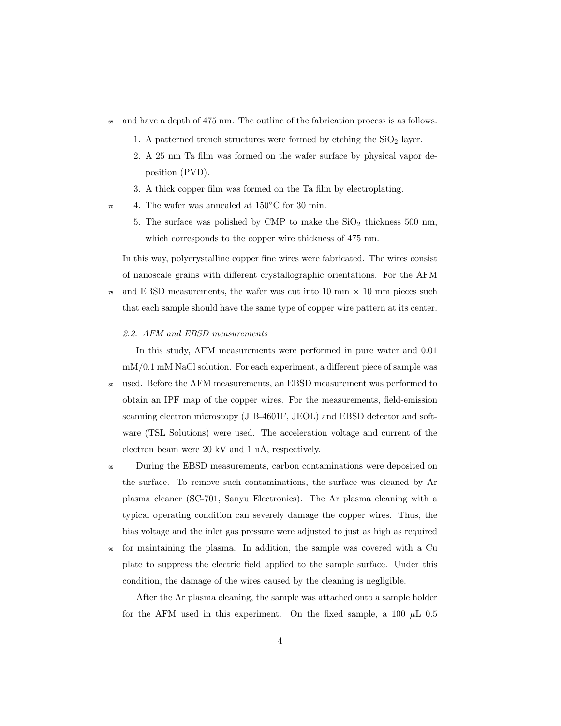- <sup>65</sup> and have a depth of 475 nm. The outline of the fabrication process is as follows.
	- 1. A patterned trench structures were formed by etching the  $SiO<sub>2</sub>$  layer.
	- 2. A 25 nm Ta film was formed on the wafer surface by physical vapor deposition (PVD).
	- 3. A thick copper film was formed on the Ta film by electroplating.
- <sup>70</sup> 4. The wafer was annealed at 150<sup>°</sup>C for 30 min.
	- 5. The surface was polished by CMP to make the  $SiO<sub>2</sub>$  thickness 500 nm, which corresponds to the copper wire thickness of 475 nm.

In this way, polycrystalline copper fine wires were fabricated. The wires consist of nanoscale grains with different crystallographic orientations. For the AFM

- $75$  and EBSD measurements, the wafer was cut into 10 mm  $\times$  10 mm pieces such that each sample should have the same type of copper wire pattern at its center.
	- *2.2. AFM and EBSD measurements*

In this study, AFM measurements were performed in pure water and 0.01 mM/0.1 mM NaCl solution. For each experiment, a different piece of sample was

- <sup>80</sup> used. Before the AFM measurements, an EBSD measurement was performed to obtain an IPF map of the copper wires. For the measurements, field-emission scanning electron microscopy (JIB-4601F, JEOL) and EBSD detector and software (TSL Solutions) were used. The acceleration voltage and current of the electron beam were 20 kV and 1 nA, respectively.
- <sup>85</sup> During the EBSD measurements, carbon contaminations were deposited on the surface. To remove such contaminations, the surface was cleaned by Ar plasma cleaner (SC-701, Sanyu Electronics). The Ar plasma cleaning with a typical operating condition can severely damage the copper wires. Thus, the bias voltage and the inlet gas pressure were adjusted to just as high as required
- <sup>90</sup> for maintaining the plasma. In addition, the sample was covered with a Cu plate to suppress the electric field applied to the sample surface. Under this condition, the damage of the wires caused by the cleaning is negligible.

After the Ar plasma cleaning, the sample was attached onto a sample holder for the AFM used in this experiment. On the fixed sample, a 100  $\mu$ L 0.5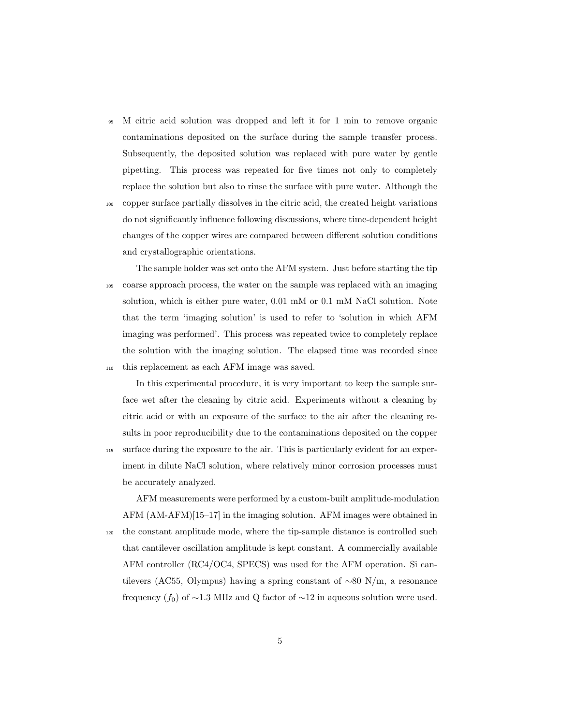<sup>95</sup> M citric acid solution was dropped and left it for 1 min to remove organic contaminations deposited on the surface during the sample transfer process. Subsequently, the deposited solution was replaced with pure water by gentle pipetting. This process was repeated for five times not only to completely replace the solution but also to rinse the surface with pure water. Although the

<sup>100</sup> copper surface partially dissolves in the citric acid, the created height variations do not significantly influence following discussions, where time-dependent height changes of the copper wires are compared between different solution conditions and crystallographic orientations.

The sample holder was set onto the AFM system. Just before starting the tip <sup>105</sup> coarse approach process, the water on the sample was replaced with an imaging solution, which is either pure water, 0.01 mM or 0.1 mM NaCl solution. Note that the term 'imaging solution' is used to refer to 'solution in which AFM imaging was performed'. This process was repeated twice to completely replace the solution with the imaging solution. The elapsed time was recorded since <sup>110</sup> this replacement as each AFM image was saved.

In this experimental procedure, it is very important to keep the sample surface wet after the cleaning by citric acid. Experiments without a cleaning by citric acid or with an exposure of the surface to the air after the cleaning results in poor reproducibility due to the contaminations deposited on the copper

<sup>115</sup> surface during the exposure to the air. This is particularly evident for an experiment in dilute NaCl solution, where relatively minor corrosion processes must be accurately analyzed.

AFM measurements were performed by a custom-built amplitude-modulation AFM (AM-AFM)[15–17] in the imaging solution. AFM images were obtained in <sup>120</sup> the constant amplitude mode, where the tip-sample distance is controlled such that cantilever oscillation amplitude is kept constant. A commercially available AFM controller (RC4/OC4, SPECS) was used for the AFM operation. Si cantilevers (AC55, Olympus) having a spring constant of *∼*80 N/m, a resonance frequency  $(f_0)$  of ~1.3 MHz and Q factor of ~12 in aqueous solution were used.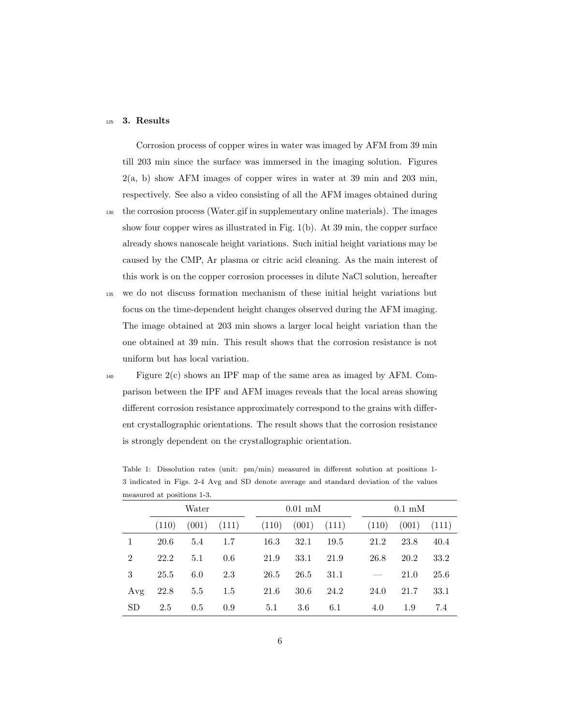#### <sup>125</sup> **3. Results**

Corrosion process of copper wires in water was imaged by AFM from 39 min till 203 min since the surface was immersed in the imaging solution. Figures 2(a, b) show AFM images of copper wires in water at 39 min and 203 min, respectively. See also a video consisting of all the AFM images obtained during

- <sup>130</sup> the corrosion process (Water.gif in supplementary online materials). The images show four copper wires as illustrated in Fig. 1(b). At 39 min, the copper surface already shows nanoscale height variations. Such initial height variations may be caused by the CMP, Ar plasma or citric acid cleaning. As the main interest of this work is on the copper corrosion processes in dilute NaCl solution, hereafter
- <sup>135</sup> we do not discuss formation mechanism of these initial height variations but focus on the time-dependent height changes observed during the AFM imaging. The image obtained at 203 min shows a larger local height variation than the one obtained at 39 min. This result shows that the corrosion resistance is not uniform but has local variation.
- 

<sup>140</sup> Figure 2(c) shows an IPF map of the same area as imaged by AFM. Comparison between the IPF and AFM images reveals that the local areas showing different corrosion resistance approximately correspond to the grains with different crystallographic orientations. The result shows that the corrosion resistance is strongly dependent on the crystallographic orientation.

|                | Water |       |       | $0.01$ mM |      |                 |  | $0.1 \text{ }\mathrm{mM}$ |       |       |  |
|----------------|-------|-------|-------|-----------|------|-----------------|--|---------------------------|-------|-------|--|
|                | (110) | (001) | (111) | (110)     |      | $(001)$ $(111)$ |  | (110)                     | (001) | (111) |  |
|                | 20.6  | 5.4   | 1.7   | 16.3      | 32.1 | 19.5            |  | 21.2                      | 23.8  | 40.4  |  |
| $\overline{2}$ | 22.2  | 5.1   | 0.6   | 21.9      | 33.1 | 21.9            |  | 26.8                      | 20.2  | 33.2  |  |
| 3              | 25.5  | 6.0   | 2.3   | 26.5      | 26.5 | 31.1            |  |                           | 21.0  | 25.6  |  |
| Avg            | 22.8  | 5.5   | 1.5   | 21.6      | 30.6 | 24.2            |  | 24.0                      | 21.7  | 33.1  |  |
| <b>SD</b>      | 2.5   | 0.5   | 0.9   | 5.1       | 3.6  | 6.1             |  | 4.0                       | 1.9   | 7.4   |  |

Table 1: Dissolution rates (unit: pm/min) measured in different solution at positions 1- 3 indicated in Figs. 2-4 Avg and SD denote average and standard deviation of the values measured at positions 1-3.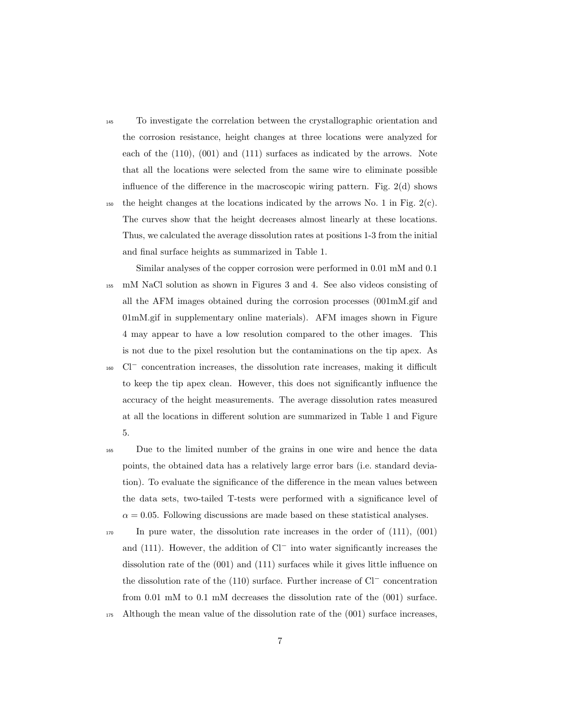- <sup>145</sup> To investigate the correlation between the crystallographic orientation and the corrosion resistance, height changes at three locations were analyzed for each of the (110), (001) and (111) surfaces as indicated by the arrows. Note that all the locations were selected from the same wire to eliminate possible influence of the difference in the macroscopic wiring pattern. Fig.  $2(d)$  shows 150 the height changes at the locations indicated by the arrows No. 1 in Fig.  $2(c)$ . The curves show that the height decreases almost linearly at these locations. Thus, we calculated the average dissolution rates at positions 1-3 from the initial and final surface heights as summarized in Table 1.
- Similar analyses of the copper corrosion were performed in 0.01 mM and 0.1 <sup>155</sup> mM NaCl solution as shown in Figures 3 and 4. See also videos consisting of all the AFM images obtained during the corrosion processes (001mM.gif and 01mM.gif in supplementary online materials). AFM images shown in Figure 4 may appear to have a low resolution compared to the other images. This is not due to the pixel resolution but the contaminations on the tip apex. As
- Cl*<sup>−</sup>* <sup>160</sup> concentration increases, the dissolution rate increases, making it difficult to keep the tip apex clean. However, this does not significantly influence the accuracy of the height measurements. The average dissolution rates measured at all the locations in different solution are summarized in Table 1 and Figure 5.
- <sup>165</sup> Due to the limited number of the grains in one wire and hence the data points, the obtained data has a relatively large error bars (i.e. standard deviation). To evaluate the significance of the difference in the mean values between the data sets, two-tailed T-tests were performed with a significance level of  $\alpha = 0.05$ . Following discussions are made based on these statistical analyses.
- <sup>170</sup> In pure water, the dissolution rate increases in the order of (111), (001) and (111). However, the addition of Cl*<sup>−</sup>* into water significantly increases the dissolution rate of the (001) and (111) surfaces while it gives little influence on the dissolution rate of the (110) surface. Further increase of Cl*<sup>−</sup>* concentration from 0.01 mM to 0.1 mM decreases the dissolution rate of the (001) surface.
- $175$  Although the mean value of the dissolution rate of the  $(001)$  surface increases,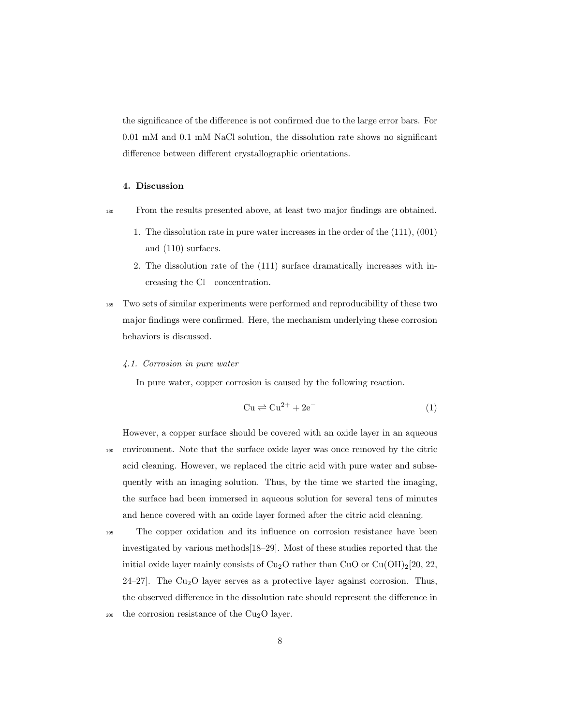the significance of the difference is not confirmed due to the large error bars. For 0.01 mM and 0.1 mM NaCl solution, the dissolution rate shows no significant difference between different crystallographic orientations.

#### **4. Discussion**

- <sup>180</sup> From the results presented above, at least two major findings are obtained.
	- 1. The dissolution rate in pure water increases in the order of the (111), (001) and (110) surfaces.
	- 2. The dissolution rate of the (111) surface dramatically increases with increasing the Cl*<sup>−</sup>* concentration.
- <sup>185</sup> Two sets of similar experiments were performed and reproducibility of these two major findings were confirmed. Here, the mechanism underlying these corrosion behaviors is discussed.

#### *4.1. Corrosion in pure water*

In pure water, copper corrosion is caused by the following reaction.

$$
Cu \rightleftharpoons Cu^{2+} + 2e^-
$$
 (1)

However, a copper surface should be covered with an oxide layer in an aqueous <sup>190</sup> environment. Note that the surface oxide layer was once removed by the citric acid cleaning. However, we replaced the citric acid with pure water and subsequently with an imaging solution. Thus, by the time we started the imaging, the surface had been immersed in aqueous solution for several tens of minutes and hence covered with an oxide layer formed after the citric acid cleaning.

<sup>195</sup> The copper oxidation and its influence on corrosion resistance have been investigated by various methods[18–29]. Most of these studies reported that the initial oxide layer mainly consists of  $Cu<sub>2</sub>O$  rather than  $CuO$  or  $Cu(OH)<sub>2</sub>[20, 22, 1]$  $24-27$ . The Cu<sub>2</sub>O layer serves as a protective layer against corrosion. Thus, the observed difference in the dissolution rate should represent the difference in  $200$  the corrosion resistance of the Cu<sub>2</sub>O layer.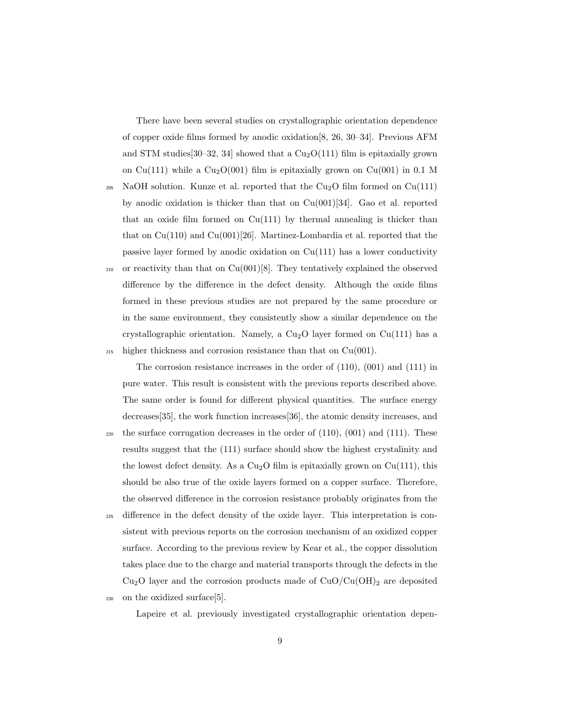There have been several studies on crystallographic orientation dependence of copper oxide films formed by anodic oxidation[8, 26, 30–34]. Previous AFM and STM studies  $[30-32, 34]$  showed that a  $Cu<sub>2</sub>O(111)$  film is epitaxially grown on Cu(111) while a Cu<sub>2</sub>O(001) film is epitaxially grown on Cu(001) in 0.1 M

 $_{205}$  NaOH solution. Kunze et al. reported that the Cu<sub>2</sub>O film formed on Cu(111) by anodic oxidation is thicker than that on  $Cu(001)[34]$ . Gao et al. reported that an oxide film formed on  $Cu(111)$  by thermal annealing is thicker than that on  $Cu(110)$  and  $Cu(001)[26]$ . Martinez-Lombardia et al. reported that the passive layer formed by anodic oxidation on  $Cu(111)$  has a lower conductivity 210 or reactivity than that on  $Cu(001)[8]$ . They tentatively explained the observed difference by the difference in the defect density. Although the oxide films formed in these previous studies are not prepared by the same procedure or

in the same environment, they consistently show a similar dependence on the crystallographic orientation. Namely, a  $Cu<sub>2</sub>O$  layer formed on  $Cu(111)$  has a  $_{215}$  higher thickness and corrosion resistance than that on Cu(001).

The corrosion resistance increases in the order of (110), (001) and (111) in pure water. This result is consistent with the previous reports described above. The same order is found for different physical quantities. The surface energy decreases[35], the work function increases[36], the atomic density increases, and

- $_{220}$  the surface corrugation decreases in the order of  $(110)$ ,  $(001)$  and  $(111)$ . These results suggest that the (111) surface should show the highest crystalinity and the lowest defect density. As a  $Cu<sub>2</sub>O$  film is epitaxially grown on  $Cu(111)$ , this should be also true of the oxide layers formed on a copper surface. Therefore, the observed difference in the corrosion resistance probably originates from the
- <sup>225</sup> difference in the defect density of the oxide layer. This interpretation is consistent with previous reports on the corrosion mechanism of an oxidized copper surface. According to the previous review by Kear et al., the copper dissolution takes place due to the charge and material transports through the defects in the  $Cu<sub>2</sub>O$  layer and the corrosion products made of  $CuO/Cu(OH)<sub>2</sub>$  are deposited
- <sup>230</sup> on the oxidized surface[5].

Lapeire et al. previously investigated crystallographic orientation depen-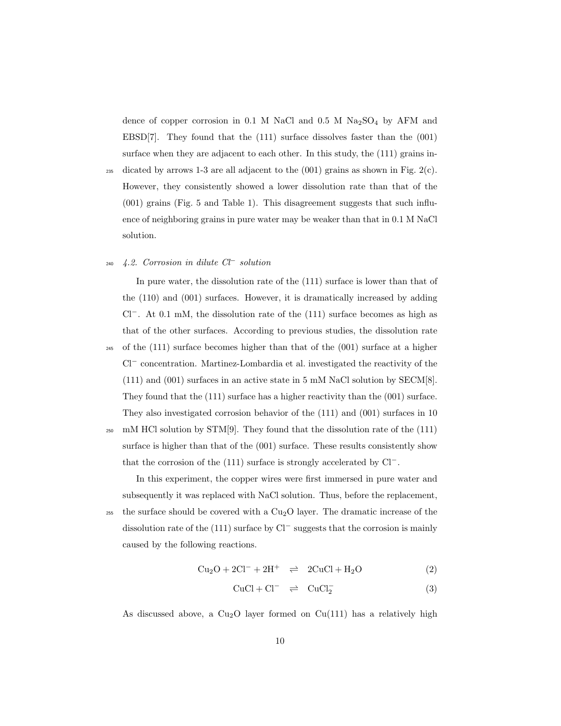dence of copper corrosion in 0.1 M NaCl and 0.5 M  $Na<sub>2</sub>SO<sub>4</sub>$  by AFM and EBSD[7]. They found that the  $(111)$  surface dissolves faster than the  $(001)$ surface when they are adjacent to each other. In this study, the (111) grains in-

235 dicated by arrows 1-3 are all adjacent to the  $(001)$  grains as shown in Fig.  $2(c)$ . However, they consistently showed a lower dissolution rate than that of the (001) grains (Fig. 5 and Table 1). This disagreement suggests that such influence of neighboring grains in pure water may be weaker than that in 0.1 M NaCl solution.

#### *4.2. Corrosion in dilute Cl<sup>−</sup>* <sup>240</sup> *solution*

In pure water, the dissolution rate of the (111) surface is lower than that of the (110) and (001) surfaces. However, it is dramatically increased by adding Cl*−*. At 0.1 mM, the dissolution rate of the (111) surface becomes as high as that of the other surfaces. According to previous studies, the dissolution rate <sup>245</sup> of the (111) surface becomes higher than that of the (001) surface at a higher Cl*<sup>−</sup>* concentration. Martinez-Lombardia et al. investigated the reactivity of the (111) and (001) surfaces in an active state in 5 mM NaCl solution by SECM[8]. They found that the (111) surface has a higher reactivity than the (001) surface. They also investigated corrosion behavior of the (111) and (001) surfaces in 10  $_{250}$  mM HCl solution by STM[9]. They found that the dissolution rate of the  $(111)$ 

surface is higher than that of the (001) surface. These results consistently show that the corrosion of the (111) surface is strongly accelerated by Cl*−*.

In this experiment, the copper wires were first immersed in pure water and subsequently it was replaced with NaCl solution. Thus, before the replacement, 255 the surface should be covered with a  $Cu<sub>2</sub>O$  layer. The dramatic increase of the dissolution rate of the (111) surface by Cl*<sup>−</sup>* suggests that the corrosion is mainly caused by the following reactions.

$$
Cu2O + 2Cl- + 2H+ \implies 2CuCl + H2O
$$
 (2)

$$
CuCl + Cl^{-} \quad \rightleftharpoons \quad CuCl_{2}^{-} \tag{3}
$$

As discussed above, a  $Cu<sub>2</sub>O$  layer formed on  $Cu(111)$  has a relatively high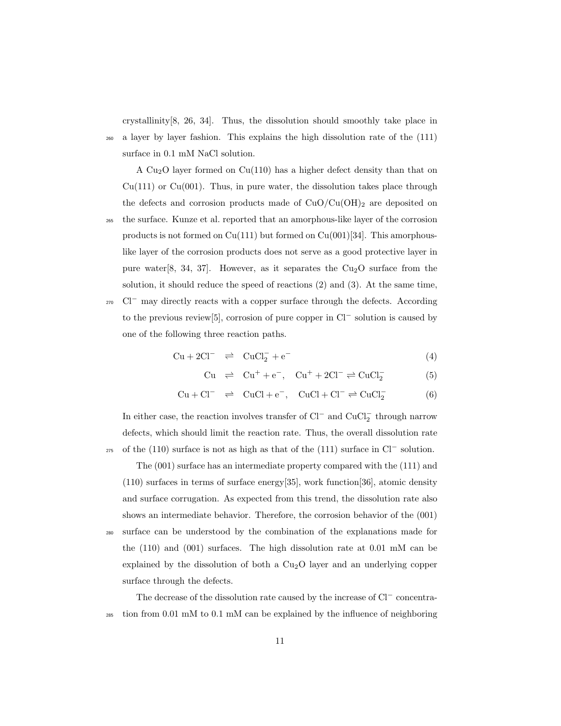crystallinity[8, 26, 34]. Thus, the dissolution should smoothly take place in <sup>260</sup> a layer by layer fashion. This explains the high dissolution rate of the (111) surface in 0.1 mM NaCl solution.

A  $Cu<sub>2</sub>O$  layer formed on  $Cu(110)$  has a higher defect density than that on  $Cu(111)$  or  $Cu(001)$ . Thus, in pure water, the dissolution takes place through the defects and corrosion products made of  $CuO/Cu(OH)_2$  are deposited on

- <sup>265</sup> the surface. Kunze et al. reported that an amorphous-like layer of the corrosion products is not formed on  $Cu(111)$  but formed on  $Cu(001)[34]$ . This amorphouslike layer of the corrosion products does not serve as a good protective layer in pure water[8, 34, 37]. However, as it separates the  $Cu<sub>2</sub>O$  surface from the solution, it should reduce the speed of reactions (2) and (3). At the same time,
- <sup>270</sup> Cl<sup>−</sup> may directly reacts with a copper surface through the defects. According to the previous review[5], corrosion of pure copper in Cl*<sup>−</sup>* solution is caused by one of the following three reaction paths.

$$
Cu + 2Cl^- \quad \rightleftharpoons \quad CuCl_2^- + e^- \tag{4}
$$

$$
Cu \ \rightleftharpoons Cu^{+} + e^{-}, \quad Cu^{+} + 2Cl^{-} \rightleftharpoons CuCl_{2}^{-} \tag{5}
$$

$$
Cu + Cl^- \quad \rightleftharpoons \quad CuCl + e^-, \quad CuCl + Cl^- \rightleftharpoons CuCl_2^- \tag{6}
$$

In either case, the reaction involves transfer of Cl*<sup>−</sup>* and CuCl*<sup>−</sup>* 2 through narrow defects, which should limit the reaction rate. Thus, the overall dissolution rate 275 of the (110) surface is not as high as that of the (111) surface in Cl<sup>−</sup> solution.

The (001) surface has an intermediate property compared with the (111) and (110) surfaces in terms of surface energy[35], work function[36], atomic density and surface corrugation. As expected from this trend, the dissolution rate also shows an intermediate behavior. Therefore, the corrosion behavior of the (001) <sup>280</sup> surface can be understood by the combination of the explanations made for the (110) and (001) surfaces. The high dissolution rate at 0.01 mM can be explained by the dissolution of both a  $Cu<sub>2</sub>O$  layer and an underlying copper surface through the defects.

The decrease of the dissolution rate caused by the increase of Cl*<sup>−</sup>* concentra- $_{285}$  tion from 0.01 mM to 0.1 mM can be explained by the influence of neighboring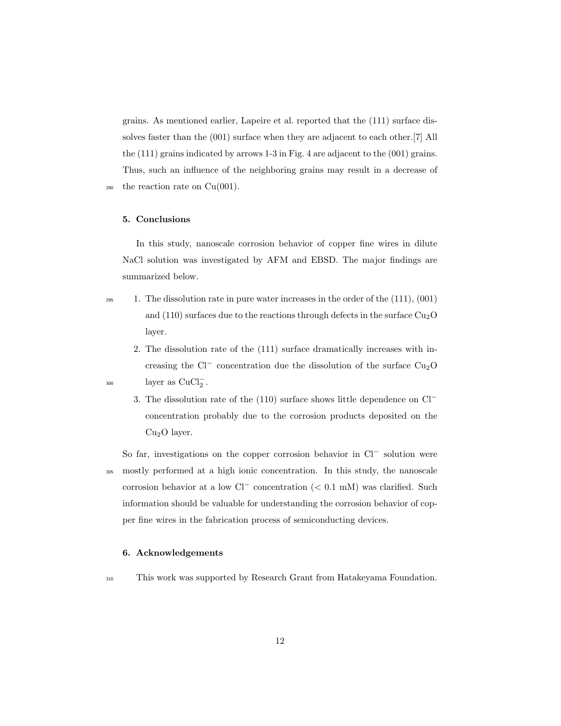grains. As mentioned earlier, Lapeire et al. reported that the (111) surface dissolves faster than the (001) surface when they are adjacent to each other.[7] All the (111) grains indicated by arrows 1-3 in Fig. 4 are adjacent to the (001) grains. Thus, such an influence of the neighboring grains may result in a decrease of  $290$  the reaction rate on  $Cu(001)$ .

#### **5. Conclusions**

In this study, nanoscale corrosion behavior of copper fine wires in dilute NaCl solution was investigated by AFM and EBSD. The major findings are summarized below.

- 
- <sup>295</sup> 1. The dissolution rate in pure water increases in the order of the (111), (001) and (110) surfaces due to the reactions through defects in the surface  $Cu<sub>2</sub>O$ layer.
- 2. The dissolution rate of the (111) surface dramatically increases with increasing the  $Cl^-$  concentration due the dissolution of the surface  $Cu_2O$ <sup>300</sup> layer as CuCl<sub>2</sub><sup>-</sup>.
	- 3. The dissolution rate of the (110) surface shows little dependence on Cl*<sup>−</sup>* concentration probably due to the corrosion products deposited on the  $Cu<sub>2</sub>O$  layer.

So far, investigations on the copper corrosion behavior in Cl*<sup>−</sup>* solution were <sup>305</sup> mostly performed at a high ionic concentration. In this study, the nanoscale corrosion behavior at a low Cl*<sup>−</sup>* concentration (*<* 0.1 mM) was clarified. Such information should be valuable for understanding the corrosion behavior of copper fine wires in the fabrication process of semiconducting devices.

#### **6. Acknowledgements**

<sup>310</sup> This work was supported by Research Grant from Hatakeyama Foundation.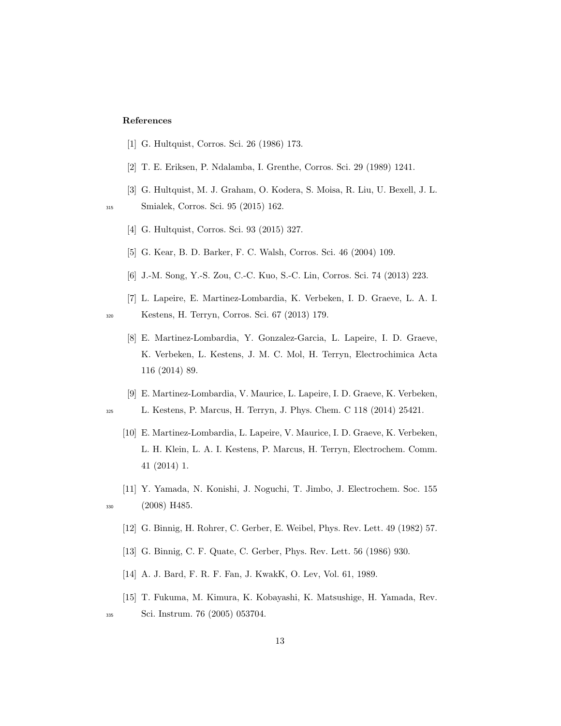#### **References**

- [1] G. Hultquist, Corros. Sci. 26 (1986) 173.
- [2] T. E. Eriksen, P. Ndalamba, I. Grenthe, Corros. Sci. 29 (1989) 1241.
- [3] G. Hultquist, M. J. Graham, O. Kodera, S. Moisa, R. Liu, U. Bexell, J. L.

<sup>315</sup> Smialek, Corros. Sci. 95 (2015) 162.

- [4] G. Hultquist, Corros. Sci. 93 (2015) 327.
- [5] G. Kear, B. D. Barker, F. C. Walsh, Corros. Sci. 46 (2004) 109.
- [6] J.-M. Song, Y.-S. Zou, C.-C. Kuo, S.-C. Lin, Corros. Sci. 74 (2013) 223.
- [7] L. Lapeire, E. Martinez-Lombardia, K. Verbeken, I. D. Graeve, L. A. I. <sup>320</sup> Kestens, H. Terryn, Corros. Sci. 67 (2013) 179.
	- [8] E. Martinez-Lombardia, Y. Gonzalez-Garcia, L. Lapeire, I. D. Graeve, K. Verbeken, L. Kestens, J. M. C. Mol, H. Terryn, Electrochimica Acta 116 (2014) 89.
	- [9] E. Martinez-Lombardia, V. Maurice, L. Lapeire, I. D. Graeve, K. Verbeken,
- <sup>325</sup> L. Kestens, P. Marcus, H. Terryn, J. Phys. Chem. C 118 (2014) 25421.
	- [10] E. Martinez-Lombardia, L. Lapeire, V. Maurice, I. D. Graeve, K. Verbeken, L. H. Klein, L. A. I. Kestens, P. Marcus, H. Terryn, Electrochem. Comm. 41 (2014) 1.
- [11] Y. Yamada, N. Konishi, J. Noguchi, T. Jimbo, J. Electrochem. Soc. 155 <sup>330</sup> (2008) H485.
	- [12] G. Binnig, H. Rohrer, C. Gerber, E. Weibel, Phys. Rev. Lett. 49 (1982) 57.
	- [13] G. Binnig, C. F. Quate, C. Gerber, Phys. Rev. Lett. 56 (1986) 930.
	- [14] A. J. Bard, F. R. F. Fan, J. KwakK, O. Lev, Vol. 61, 1989.
- [15] T. Fukuma, M. Kimura, K. Kobayashi, K. Matsushige, H. Yamada, Rev. <sup>335</sup> Sci. Instrum. 76 (2005) 053704.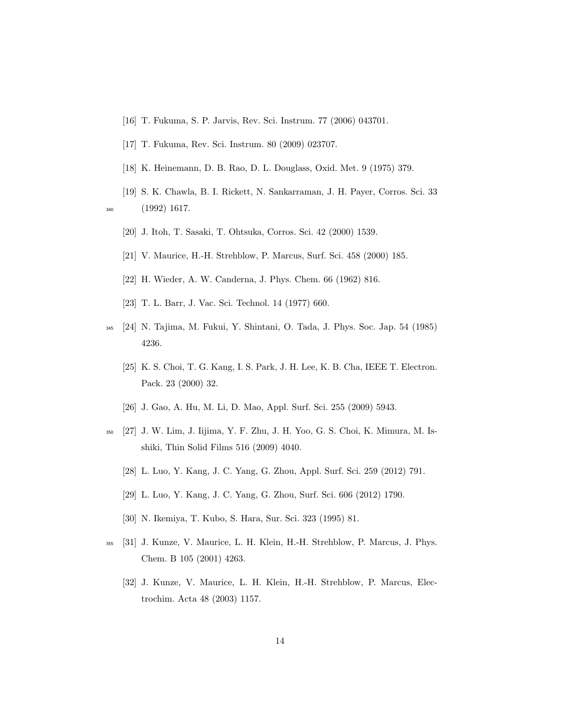- [16] T. Fukuma, S. P. Jarvis, Rev. Sci. Instrum. 77 (2006) 043701.
- [17] T. Fukuma, Rev. Sci. Instrum. 80 (2009) 023707.
- [18] K. Heinemann, D. B. Rao, D. L. Douglass, Oxid. Met. 9 (1975) 379.
- [19] S. K. Chawla, B. I. Rickett, N. Sankarraman, J. H. Payer, Corros. Sci. 33 <sup>340</sup> (1992) 1617.

- [20] J. Itoh, T. Sasaki, T. Ohtsuka, Corros. Sci. 42 (2000) 1539.
- [21] V. Maurice, H.-H. Strehblow, P. Marcus, Surf. Sci. 458 (2000) 185.
- [22] H. Wieder, A. W. Canderna, J. Phys. Chem. 66 (1962) 816.
- [23] T. L. Barr, J. Vac. Sci. Technol. 14 (1977) 660.
- <sup>345</sup> [24] N. Tajima, M. Fukui, Y. Shintani, O. Tada, J. Phys. Soc. Jap. 54 (1985) 4236.
	- [25] K. S. Choi, T. G. Kang, I. S. Park, J. H. Lee, K. B. Cha, IEEE T. Electron. Pack. 23 (2000) 32.
	- [26] J. Gao, A. Hu, M. Li, D. Mao, Appl. Surf. Sci. 255 (2009) 5943.
- <sup>350</sup> [27] J. W. Lim, J. Iijima, Y. F. Zhu, J. H. Yoo, G. S. Choi, K. Mimura, M. Isshiki, Thin Solid Films 516 (2009) 4040.
	- [28] L. Luo, Y. Kang, J. C. Yang, G. Zhou, Appl. Surf. Sci. 259 (2012) 791.
	- [29] L. Luo, Y. Kang, J. C. Yang, G. Zhou, Surf. Sci. 606 (2012) 1790.
	- [30] N. Ikemiya, T. Kubo, S. Hara, Sur. Sci. 323 (1995) 81.
- <sup>355</sup> [31] J. Kunze, V. Maurice, L. H. Klein, H.-H. Strehblow, P. Marcus, J. Phys. Chem. B 105 (2001) 4263.
	- [32] J. Kunze, V. Maurice, L. H. Klein, H.-H. Strehblow, P. Marcus, Electrochim. Acta 48 (2003) 1157.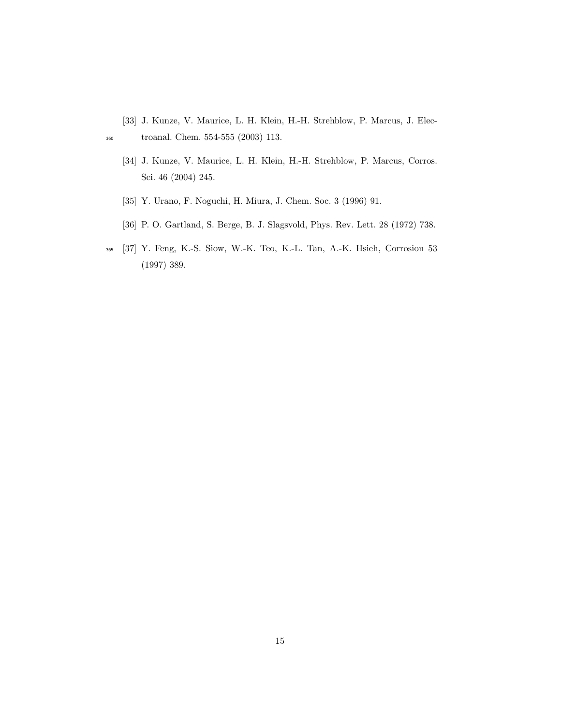- [33] J. Kunze, V. Maurice, L. H. Klein, H.-H. Strehblow, P. Marcus, J. Elec-<sup>360</sup> troanal. Chem. 554-555 (2003) 113.
	- [34] J. Kunze, V. Maurice, L. H. Klein, H.-H. Strehblow, P. Marcus, Corros. Sci. 46 (2004) 245.
	- [35] Y. Urano, F. Noguchi, H. Miura, J. Chem. Soc. 3 (1996) 91.
	- [36] P. O. Gartland, S. Berge, B. J. Slagsvold, Phys. Rev. Lett. 28 (1972) 738.
- <sup>365</sup> [37] Y. Feng, K.-S. Siow, W.-K. Teo, K.-L. Tan, A.-K. Hsieh, Corrosion 53 (1997) 389.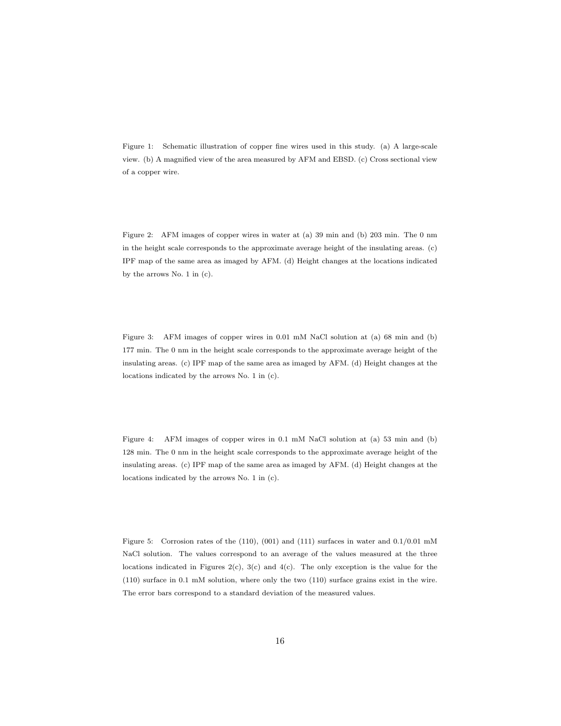Figure 1: Schematic illustration of copper fine wires used in this study. (a) A large-scale view. (b) A magnified view of the area measured by AFM and EBSD. (c) Cross sectional view of a copper wire.

Figure 2: AFM images of copper wires in water at (a) 39 min and (b) 203 min. The 0 nm in the height scale corresponds to the approximate average height of the insulating areas. (c) IPF map of the same area as imaged by AFM. (d) Height changes at the locations indicated by the arrows No. 1 in (c).

Figure 3: AFM images of copper wires in 0.01 mM NaCl solution at (a) 68 min and (b) 177 min. The 0 nm in the height scale corresponds to the approximate average height of the insulating areas. (c) IPF map of the same area as imaged by AFM. (d) Height changes at the locations indicated by the arrows No. 1 in (c).

Figure 4: AFM images of copper wires in 0.1 mM NaCl solution at (a) 53 min and (b) 128 min. The 0 nm in the height scale corresponds to the approximate average height of the insulating areas. (c) IPF map of the same area as imaged by AFM. (d) Height changes at the locations indicated by the arrows No. 1 in (c).

Figure 5: Corrosion rates of the (110), (001) and (111) surfaces in water and 0.1/0.01 mM NaCl solution. The values correspond to an average of the values measured at the three locations indicated in Figures 2(c), 3(c) and 4(c). The only exception is the value for the (110) surface in 0.1 mM solution, where only the two (110) surface grains exist in the wire. The error bars correspond to a standard deviation of the measured values.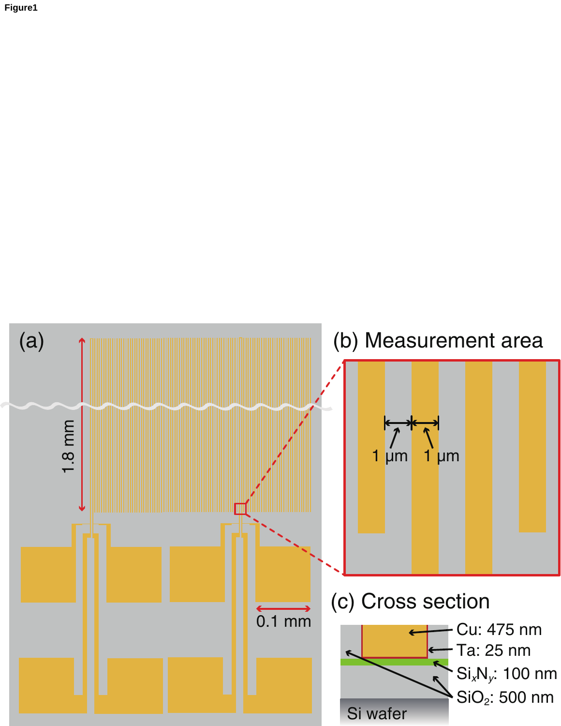**Figure1**

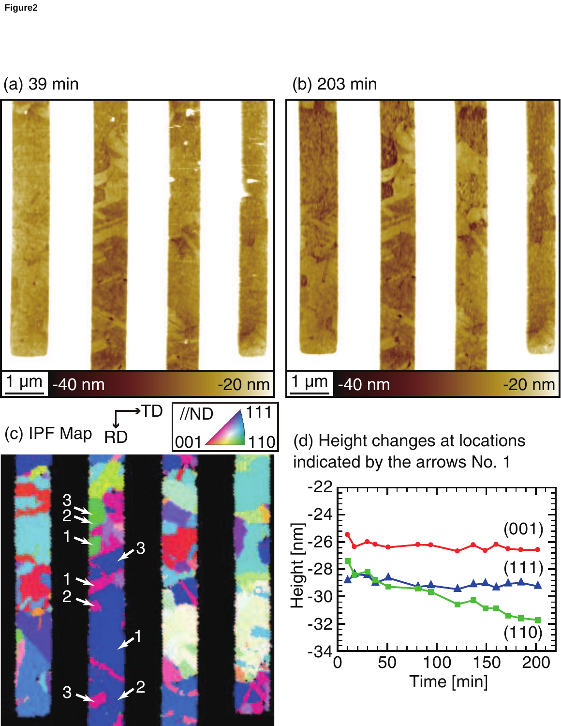(a) 39 min

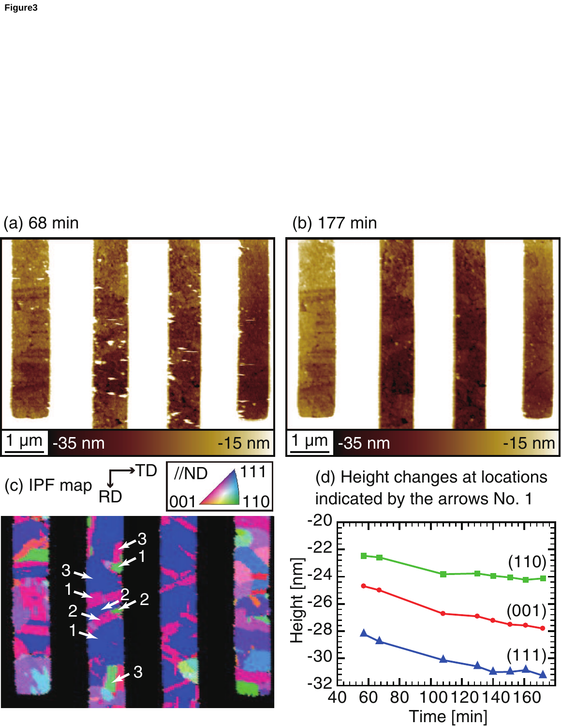## (a) 68 min



(b) 177 min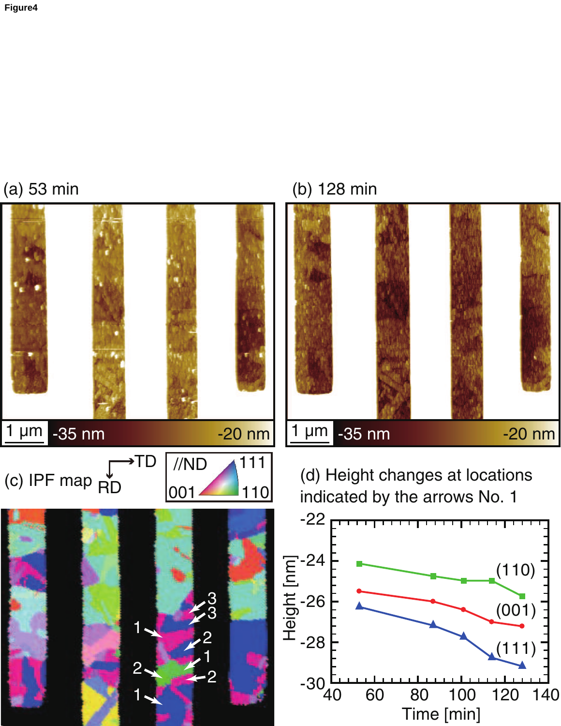